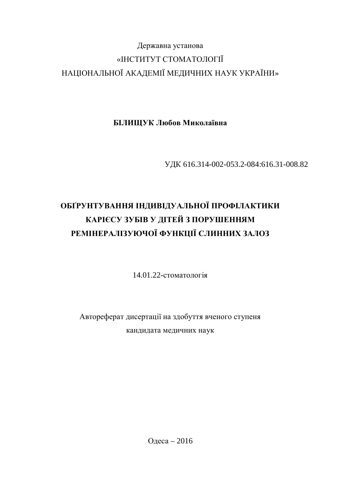# Державна установа «ІНСТИТУТ СТОМАТОЛОГІЇ НАЦІОНАЛЬНОЇ АКАДЕМІЇ МЕДИЧНИХ НАУК УКРАЇНИ»

**БІЛИЩУК Любов Миколаївна** 

ɍȾɄ 616.314-002-053.2-084:616.31-008.82

# ОБҐРУНТУВАННЯ ІНДИВІДУАЛЬНОЇ ПРОФІЛАКТИКИ КАРІЄСУ ЗУБІВ У ДІТЕЙ З ПОРУШЕННЯМ РЕМІНЕРАЛІЗУЮЧОЇ ФУНКЦІЇ СЛИННИХ ЗАЛОЗ

14.01.22-стоматологія

Автореферат дисертації на здобуття вченого ступеня кандидата медичних наук

Одеса – 2016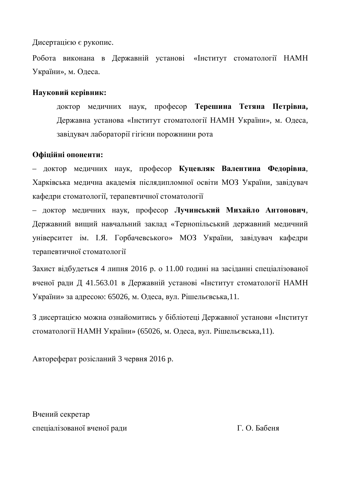Дисертацією є рукопис.

Робота виконана в Державній установі «Інститут стоматології НАМН України», м. Одеса.

### **Науковий керівник:**

доктор меличних наук, професор Терешина Тетяна Петрівна, Державна установа «Інститут стоматології НАМН України», м. Одеса, завідувач лабораторії гігієни порожнини рота

#### Офіційні опоненти:

– доктор медичних наук, професор Куцевляк Валентина Федорівна, Харківська медична академія післядипломної освіти МОЗ України, завідувач кафедри стоматології, терапевтичної стоматології

– доктор медичних наук, професор Лучинський Михайло Антонович, Державний вищий навчальний заклад «Тернопільський державний медичний університет ім. І.Я. Горбачевського» МОЗ України, завідувач кафедри терапевтичної стоматології

Захист відбудеться 4 липня 2016 р. о 11.00 годині на засіданні спеціалізованої вченої ради Д 41.563.01 в Державній установі «Інститут стоматології НАМН України» за адресою: 65026, м. Одеса, вул. Рішельєвська,11.

З дисертацією можна ознайомитись у бібліотеці Державної установи «Інститут стоматології НАМН України» (65026, м. Одеса, вул. Рішельєвська,11).

Автореферат розісланий 3 червня 2016 р.

Вчений секретар спеціалізованої вченої ради П. О. Бабеня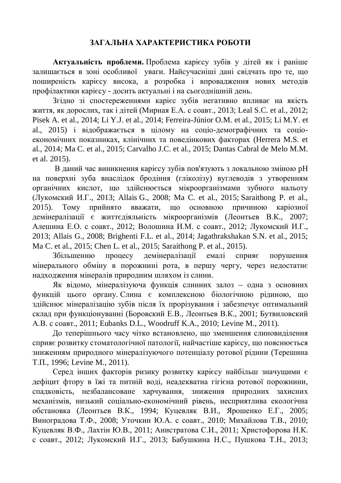## ЗАГАЛЬНА ХАРАКТЕРИСТИКА РОБОТИ

Актуальність проблеми. Проблема карієсу зубів у дітей як і раніше залишається в зоні особливої уваги. Найсучасніші дані свідчать про те, що поширеність карієсу висока, а розробка і впровадження нових методів профілактики карієсу - досить актуальні і на сьогоднішній день.

Згідно зі спостереженнями карієс зубів негативно впливає на якість життя, як дорослих, так і дітей (Мирная Е.А. с соавт., 2013; Leal S.C. et al., 2012; Pisek A. et al., 2014; Li Y.J. et al., 2014; Ferreira-Júnior O.M. et al., 2015; Li M.Y. et al., 2015) і відображається в цілому на соціо-демографічних та соціоекономічних показниках, клінічних та поведінкових факторах (Herrera M.S. et al., 2014; Ma C. et al., 2015; Carvalho J.C. et al., 2015; Dantas Cabral de Melo M.M. et al. 2015).

В даний час виникнення карієсу зубів пов'язують з локальною зміною рН на поверхні зуба внаслідок бродіння (гліколізу) вуглеводів з утворенням органічних кислот, що здійснюється мікроорганізмами зубного нальоту (Лукомский И.Г., 2013; Allais G., 2008; Ma C. et al., 2015; Saraithong P. et al., 2015). Тому прийнято вважати, що основною причиною каріозної демінералізації є життєдіяльність мікроорганізмів (Леонтьев В.К., 2007; Алешина Е.О. с соавт., 2012; Волошина И.М. с соавт., 2012; Лукомский И.Г., 2013; Allais G., 2008; Brighenti F.L. et al., 2014; Jagathrakshakan S.N. et al., 2015; Ma C. et al., 2015; Chen L. et al., 2015; Saraithong P. et al., 2015).

Збільшенню процесу демінералізації емалі сприяє порушення мінерального обміну в порожнині рота, в першу чергу, через недостатнє надходження мінералів природним шляхом із слини.

Як відомо, мінералізуюча функція слинних залоз – одна з основних функцій цього органу. Слина є комплексною біологічною рідиною, що здійснює мінералізацію зубів після їх прорізування і забезпечує оптимальний склад при функціонуванні (Боровский Е.В., Леонтьев В.К., 2001; Бутвиловский A.B. c coabt., 2011; Eubanks D.L., Woodruff K.A., 2010; Levine M., 2011).

До теперішнього часу чітко встановлено, що зменшення слиновиділення сприяє розвитку стоматологічної патології, найчастіше карієсу, що пояснюється зниженням природного мінералізуючого потенціалу ротової рідини (Терешина Ɍɉ., 1996; Levine M., 2011).

Серед інших факторів ризику розвитку карієсу найбільш значущими є дефіцит фтору в їжі та питній воді, неадекватна гігієна ротової порожнини, спадковість, незбалансоване харчування, зниження природних захисних механізмів, низький соціально-економічний рівень, несприятлива екологічна обстановка (Леонтьев В.К., 1994; Куцевляк В.И., Ярошенко Е.Г., 2005; Виноградова Т.Ф., 2008; Уточкин Ю.А. с соавт., 2010; Михайлова Т.В., 2010; Куцевляк В.Ф., Лахтін Ю.В., 2011; Анистратова С.И., 2011; Христофорова Н.К. с соавт., 2012; Лукомский И.Г., 2013; Бабушкина Н.С., Пушкова Т.Н., 2013;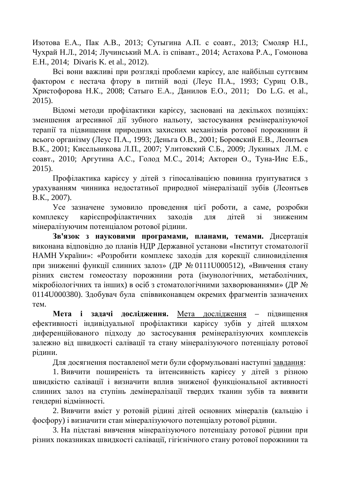Изотова Е.А., Пак А.В., 2013; Сутыгина А.П. с соавт., 2013; Смоляр Н.І., Чухрай Н.Л., 2014; Лучинський М.А. із співавт., 2014; Астахова Р.А., Гомонова E.H., 2014; Divaris K. et al., 2012).

Всі вони важливі при розгляді проблеми карієсу, але найбільш суттєвим фактором є нестача фтору в питній воді (Леус П.А., 1993; Суриц О.В., Христофорова Н.К., 2008; Сатыго Е.А., Данилов Е.О., 2011; Do L.G. et al., 2015).

Відомі методи профілактики карієсу, засновані на декількох позиціях: зменшення агресивної дії зубного нальоту, застосування ремінералізуючої терапії та підвищення природних захисних механізмів ротової порожнини й всього організму (Леус П.А., 1993; Деньга О.В., 2001; Боровский Е.В., Леонтьев В.К., 2001; Кисельникова Л.П., 2007; Улитовский С.Б., 2009; Лукиных Л.М. с соавт., 2010; Аргутина А.С., Голод М.С., 2014; Акторен О., Туна-Инс Е.Б., 2015).

Профілактика карієсу у дітей з гіпосалівацією повинна ґрунтуватися з урахуванням чинника недостатньої природної мінералізації зубів (Леонтьев B.K., 2007).

Усе зазначене зумовило проведення цієї роботи, а саме, розробки комплексу карієспрофілактичних заходів для дітей зі зниженим мінералізуючим потенціалом ротової рідини.

Зв'язок з науковими програмами, планами, темами. Дисертація виконана відповідно до планів НДР Державної установи «Інститут стоматології НАМН України»: «Розробити комплекс заходів для корекції слиновиділення при зниженні функції слинних залоз» (ДР № 0111U000512), «Вивчення стану різних систем гомеостазу порожнини рота (імунологічних, метаболічних, мікробіологічних та інших) в осіб з стоматологічними захворюваннями» (ДР № 0114U000380). Здобувач була співвиконавцем окремих фрагментів зазначених Tem.

Мета і задачі дослідження. Мета дослідження – підвищення ефективності індивідуальної профілактики карієсу зубів у дітей шляхом диференційованого підходу до застосування ремінералізуючих комплексів залежно від швидкості салівації та стану мінералізуючого потенціалу ротової рідини.

Для досягнення поставленої мети були сформульовані наступні завдання:

1. Вивчити поширеність та інтенсивність карієсу у дітей з різною швидкістю салівації і визначити вплив зниженої функціональної активності слинних залоз на ступінь демінералізації твердих тканин зубів та виявити гендерні відмінності.

2. Вивчити вміст у ротовій рідині дітей основних мінералів (кальцію і фосфору) і визначити стан мінералізуючого потенціалу ротової рідини.

3. На підставі вивчення мінералізуючого потенціалу ротової рідини при різних показниках швидкості салівації, гігієнічного стану ротової порожнини та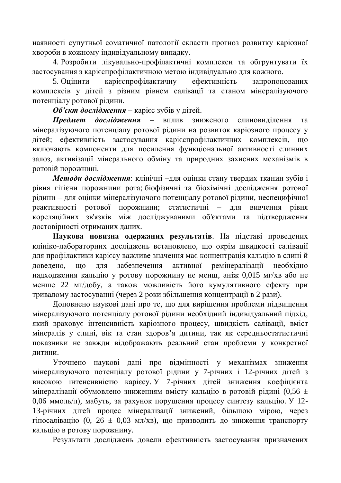наявності супутньої соматичної патології скласти прогноз розвитку каріозної хвороби в кожному індивідуальному випадку.

4. Розробити лікувально-профілактичні комплекси та обгрунтувати їх застосування з карієспрофілактичною метою індивідуально для кожного.

5. Оцінити карієспрофілактичну ефективність запропонованих комплексів у дітей з різним рівнем салівації та станом мінералізуючого потенціалу ротової рідини.

**Об'єкт дослідження** – карієс зубів у дітей.

Предмет дослідження – вплив зниженого слиновиділення та мінералізуючого потенціалу ротової рідини на розвиток каріозного процесу у дітей; ефективність застосування карієспрофілактичних комплексів, що включають компоненти для посилення функціональної активності слинних залоз, активізації мінерального обміну та природних захисних механізмів в ротовій порожнині.

Методи дослідження: клінічні –для оцінки стану твердих тканин зубів і рівня гігієни порожнини рота; біофізичні та біохімічні дослідження ротової рілини – лля оцінки мінералізуючого потенціалу ротової рілини, неспецифічної реактивності ротової порожнини; статистичні – для вивчення рівня кореляційних зв'язків між досліджуваними об'єктами та підтвердження достовірності отриманих даних.

Наукова новизна одержаних результатів. На підставі проведених клініко-лабораторних досліджень встановлено, що окрім швидкості салівації для профілактики карієсу важливе значення має концентрація кальцію в слині й доведено, що для забезпечення активної ремінералізації необхідно надходження кальцію у ротову порожнину не менш, аніж 0,015 мг/хв або не менше 22 мг/добу, а також можливість його кумулятивного ефекту при тривалому застосуванні (через 2 роки збільшення концентрації в 2 рази).

Доповнено наукові дані про те, що для вирішення проблеми підвищення мінералізуючого потенціалу ротової рідини необхідний індивідуальний підхід, який враховує інтенсивність каріозного процесу, швидкість салівації, вміст мінералів у слині, вік та стан здоров'я дитини, так як середньостатистичні показники не завжди відображають реальний стан проблеми у конкретної ДИТИНИ.

Уточнено наукові дані про відмінності у механізмах зниження мінералізуючого потенціалу ротової рідини у 7-річних і 12-річних дітей з високою інтенсивністю карієсу. У 7-річних дітей зниження коефіцієнта мінералізації обумовлено зниженням вмісту кальцію в ротовій рідині (0,56 ± 0,06 ммоль/л), мабуть, за рахунок порушення процесу синтезу кальцію. У 12-13-річних дітей процес мінералізації знижений, більшою мірою, через гіпосалівацію (0, 26 ± 0,03 мл/хв), що призводить до зниження транспорту кальцію в ротову порожнину.

Результати досліджень довели ефективність застосування призначених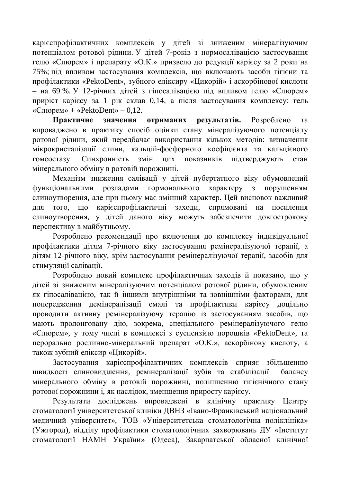карієспрофілактичних комплексів у дітей зі зниженим мінералізуючим потенціалом ротової рідини. У дітей 7-років з нормосалівацією застосування гелю «Слюрем» і препарату «О.К.» призвело до редукції карієсу за 2 роки на 75%; під впливом застосування комплексів, що включають засоби гігієни та профілактики «PektoDent», зубного еліксиру «Цикорій» і аскорбінової кислоти – на 69 %. У 12-річних дітей з гіпосалівацією під впливом гелю «Слюрем» приріст карієсу за 1 рік склав 0,14, а після застосування комплексу: гель «Слюрем» + «PektoDent» – 0,12.

Практичне значення отриманих результатів. Розроблено та впроваджено в практику спосіб оцінки стану мінералізуючого потенціалу ротової рідини, який передбачає використання кількох методів: визначення мікрокристалізації слини, кальцій-фосфорного коефіцієнта та кальцієвого гомеостазу. Синхронність змін цих показників підтверджують стан мінерального обміну в ротовій порожнині.

Механізм зниження салівації у дітей пубертатного віку обумовлений функціональними розладами гормонального характеру з порушенням слиноутворення, але при цьому має змінний характер. Цей висновок важливий для того, що карієспрофілактичні заходи, спрямовані на посилення слиноутворення, у дітей даного віку можуть забезпечити довгострокову перспективу в майбутньому.

Розроблено рекомендації про включення до комплексу індивідуальної профілактики дітям 7-річного віку застосування ремінералізуючої терапії, а дітям 12-річного віку, крім застосування ремінералізуючої терапії, засобів для стимуляції салівації.

Розроблено новий комплекс профілактичних заходів й показано, що у дітей зі зниженим мінералізуючим потенціалом ротової рідини, обумовленим як гіпосалівацією, так й іншими внутрішніми та зовнішніми факторами, для попередження демінералізації емалі та профілактики карієсу доцільно проводити активну ремінералізуючу терапію із застосуванням засобів, що мають пролонговану дію, зокрема, спеціального ремінералізуючого гелю «Слюрем», у тому числі в комплексі з суспензією порошків «PektoDent», та перорально рослинно-мінеральний препарат «О.К.», аскорбінову кислоту, а також зубний еліксир «Цикорій».

Застосування карієспрофілактичних комплексів сприяє збільшенню швидкості слиновиділення, ремінералізації зубів та стабілізації балансу мінерального обміну в ротовій порожнині, поліпшенню гігієнічного стану ротової порожнини і, як наслідок, зменшення приросту карієсу.

Результати досліджень впроваджені в клінічну практику Центру стоматології університетської клініки ДВНЗ «Івано-Франківський національний медичний університет», ТОВ «Університетська стоматологічна поліклініка» (Ужгород), відділу профілактики стоматологічних захворювань ДУ «Інститут стоматології НАМН України» (Одеса), Закарпатської обласної клінічної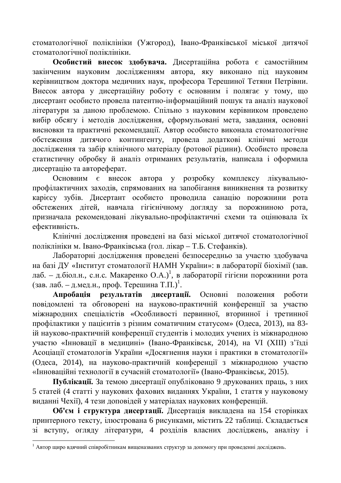стоматологічної поліклініки (Ужгород), Івано-Франківської міської дитячої стоматологічної поліклініки.

Особистий внесок здобувача. Дисертаційна робота є самостійним закінченим науковим дослідженням автора, яку виконано під науковим керівництвом доктора медичних наук, професора Терешиної Тетяни Петрівни. Внесок автора у дисертаційну роботу є основним і полягає у тому, що дисертант особисто провела патентно-інформаційний пошук та аналіз наукової літератури за даною проблемою. Спільно з науковим керівником проведено вибір обсягу і методів дослідження, сформульовані мета, завдання, основні висновки та практичні рекомендації. Автор особисто виконала стоматологічне обстеження дитячого контингенту, провела додаткові клінічні методи дослідження та забір клінічного матеріалу (ротової рідини). Особисто провела статистичну обробку й аналіз отриманих результатів, написала і оформила дисертацію та автореферат.

Основним є внесок автора у розробку комплексу лікувальнопрофілактичних заходів, спрямованих на запобігання виникнення та розвитку карієсу зубів. Лисертант особисто проводила санацію порожнини рота обстежених дітей, навчала гігієнічному догляду за порожниною рота, призначала рекомендовані лікувально-профілактичні схеми та оцінювала їх ефективність.

Клінічні лослілження провелені на базі міської литячої стоматологічної поліклініки м. Івано-Франківська (гол. лікар – Т.Б. Стефанків).

Лабораторні дослідження проведені безпосередньо за участю здобувача на базі ДУ «Інститут стоматології НАМН України»: в лабораторії біохімії (зав. лаб. – д.біол.н., с.н.с. Макаренко О.А.)<sup>1</sup>, в лабораторії гігієни порожнини рота (зав. лаб. – д.мед.н., проф. Терешина Т.П.)<sup>1</sup>.

Апробація результатів дисертації. Основні положення роботи повідомлені та обговорені на науково-практичній конференції за участю міжнародних спеціалістів «Особливості первинної, вторинної і третинної профілактики у пацієнтів з різним соматичним статусом» (Одеса, 2013), на 83ій науково-практичній конференції студентів і молодих учених із міжнародною участю «Інновації в медицині» (Івано-Франківськ, 2014), на VI (XIII) з'їзді Асоціації стоматологів України «Досягнення науки і практики в стоматології» (Одеса, 2014), на науково-практичній конференції з міжнародною участю «Інноваційні технології в сучасній стоматології» (Івано-Франківськ, 2015).

Публікації. За темою дисертації опубліковано 9 друкованих праць, з них 5 статей (4 статті у наукових фахових виданнях України, 1 стаття у науковому виданні Чехії), 4 тези доповідей у матеріалах наукових конференцій.

Об'єм і структура дисертації. Дисертація викладена на 154 сторінках принтерного тексту, ілюстрована 6 рисунками, містить 22 таблиці. Складається зі вступу, огляду літератури, 4 розділів власних досліджень, аналізу і

 $^1$  Автор щиро вдячний співробітникам вищеназваних структур за допомогу при проведенні досліджень.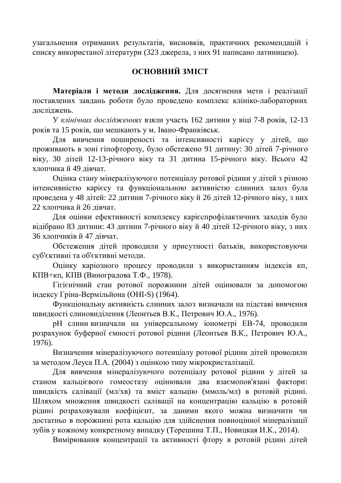vзагальнення отриманих результатів, висновків, практичних рекомендацій і списку використаної літератури (323 джерела, з них 91 написано латиницею).

## **ОСНОВНИЙ ЗМІСТ**

Матеріали і методи дослідження. Для досягнення мети і реалізації поставлених завдань роботи було проведено комплекс клініко-лабораторних досліджень.

У клінічних дослідженнях взяли участь 162 дитини у віці 7-8 років, 12-13 років та 15 років, що мешкають у м. Івано-Франківськ.

Для вивчення поширеності та інтенсивності карієсу у дітей, що проживають в зоні гіпофторозу, було обстежено 91 дитину: 30 дітей 7-річного віку, 30 дітей 12-13-річного віку та 31 дитина 15-річного віку. Всього 42 хлопчика й 49 дівчат.

Оцінка стану мінералізуючого потенціалу ротової рідини у дітей з різною інтенсивністю карієсу та функціональною активністю слинних залоз була проведена у 48 літей: 22 литини 7-річного віку й 26 літей 12-річного віку, з них 22 хлопчика й 26 дівчат.

Для оцінки ефективності комплексу карієспрофілактичних заходів було відібрано 83 дитини: 43 дитини 7-річного віку й 40 дітей 12-річного віку, з них 36 хлопчиків й 47 лівчат.

Обстеження дітей проводили у присутності батьків, використовуючи суб'єктивні та об'єктивні методи.

Оцінку каріозного процесу проводили з використанням індексів кп, КПВ+кп, КПВ (Виноградова Т.Ф., 1978).

Гігієнічний стан ротової порожнини дітей оцінювали за допомогою індексу Гріна-Вермільйона (ОНІ-S) (1964).

Функціональну активність слинних залоз визначали на підставі вивчення швидкості слиновиділення (Леонтьев В.К., Петрович Ю.А., 1976).

рН слини визначали на універсальному іонометрі ЕВ-74, проводили розрахунок буферної ємності ротової рідини (Леонтьев В.К., Петрович Ю.А., 1976).

Визначення мінералізуючого потенціалу ротової рідини дітей проводили за метолом Леуса П.А. (2004) з оцінкою типу мікрокристалізації.

Для вивчення мінералізуючого потенціалу ротової рідини у дітей за станом кальцієвого гомеостазу оцінювали два взаємопов'язані фактори: швидкість салівації (мл/хв) та вміст кальцію (ммоль/мл) в ротовій рідині. Шляхом множення швидкості салівації на концентрацію кальцію в ротовій рідині розраховували коефіцієнт, за даними якого можна визначити чи достатньо в порожнині рота кальцію для здійснення повноцінної мінералізації зубів у кожному конкретному випадку (Терешина Т.П., Новицкая И.К., 2014).

Вимірювання концентрації та активності фтору в ротовій рідині дітей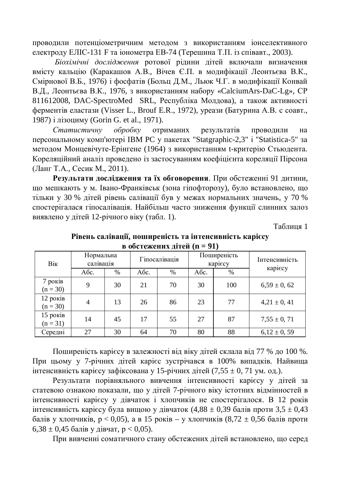проводили потенціометричним методом з використанням іонселективного електроду ЕЛІС-131 F та іонометра EB-74 (Терешина Т.П. із співавт., 2003).

Біохімічні дослідження ротової рідини дітей включали визначення вмісту кальцію (Каракашов А.В., Вічев Є.П. в модифікації Леонтьєва В.К., Смірнової В.Б., 1976) і фосфатів (Больц Д.М., Льюк Ч.Г. в модифікації Конвай В.Д., Леонтьєва В.К., 1976, з використанням набору «CalciumArs-DaC-Lg», СР 811612008, DAC-SpectroMed SRL, Республіка Молдова), а також активності ферментів еластази (Visser L., Brouf E.R., 1972), уреази (Батурина А.В. с соавт., 1987) і лізоциму (Gorin G. et al., 1971).

Статистичну обробку отриманих результатів проводили на персональному комп'ютері IBM PC у пакетах "Statgraphic-2,3" і "Statistica-5" за методом Монцевічуте-Ерінгене (1964) з використанням t-критерію Стьюдента. Кореляційний аналіз проведено із застосуванням коефіцієнта кореляції Пірсона (Ланг Т.А., Сесик М., 2011).

Результати дослідження та їх обговорення. При обстеженні 91 дитини, що мешкають у м. Івано-Франківськ (зона гіпофторозу), було встановлено, що тільки у 30 % літей рівень салівації був у межах нормальних значень, у 70 % спостерігалася гіпосалівація. Найбільш часто зниження функції слинних залоз виявлено у дітей 12-річного віку (табл. 1).

Таблиня 1

| <i>-</i> - 1             |                        |      |               |      |                        |      |                 |
|--------------------------|------------------------|------|---------------|------|------------------------|------|-----------------|
| Bik                      | Нормальна<br>салівація |      | Гіпосалівація |      | Поширеність<br>карієсу |      | Інтенсивність   |
|                          | Aбс.                   | $\%$ | Aбс.          | $\%$ | Aбс.                   | $\%$ | карієсу         |
| 7 років<br>$(n = 30)$    | 9                      | 30   | 21            | 70   | 30                     | 100  | $6,59 \pm 0,62$ |
| $12$ років<br>$(n = 30)$ | $\overline{4}$         | 13   | 26            | 86   | 23                     | 77   | $4,21 \pm 0,41$ |
| 15 років<br>$(n = 31)$   | 14                     | 45   | 17            | 55   | 27                     | 87   | $7,55 \pm 0,71$ |
| Середні                  | 27                     | 30   | 64            | 70   | 80                     | 88   | $6,12 \pm 0,59$ |

Рівень салівації, поширеність та інтенсивність карієсу **в обстежених літей (n = 91)** 

Поширеність карієсу в залежності від віку дітей склала від 77 % до 100 %. При цьому у 7-річних дітей карієс зустрічався в 100% випадків. Найвища  $\overline{a}$ нтенсивність карієсу зафіксована у 15-річних дітей (7,55 ± 0, 71 ум. од.).

Результати порівняльного вивчення інтенсивності карієсу у дітей за статевою ознакою показали, що у дітей 7-річного віку істотних відмінностей в iнтенсивності карієсу у дівчаток і хлопчиків не спостерігалося. В 12 років  $\dot{x}$ нтенсивність карієсу була вищою у дівчаток (4,88  $\pm$  0,39 балів проти 3,5  $\pm$  0,43 балів у хлопчиків,  $p < 0.05$ ), а в 15 років – у хлопчиків  $(8,72 \pm 0.56$  балів проти  $6,38 \pm 0,45$  балів у дівчат, р < 0,05).

При вивченні соматичного стану обстежених дітей встановлено, що серед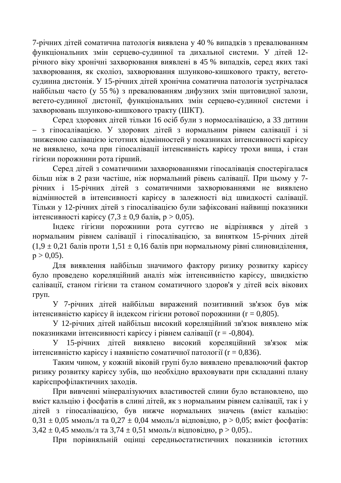7-річних дітей соматична патологія виявлена у 40 % випадків з превалюванням функціональних змін серцево-судинної та дихальної системи. У дітей 12річного віку хронічні захворювання виявлені в 45 % випадків, серед яких такі захворювання, як сколіоз, захворювання шлунково-кишкового тракту, вегетосудинна дистонія. У 15-річних дітей хронічна соматична патологія зустрічалася найбільш часто (у 55 %) з превалюванням дифузних змін щитовидної залози, вегето-судинної дистонії, функціональних змін серцево-судинної системи і захворювань шлунково-кишкового тракту (ШКТ).

Серед здорових дітей тільки 16 осіб були з нормосалівацією, а 33 дитини – з гіпосалівацією. У здорових дітей з нормальним рівнем салівації і зі зниженою салівацією істотних відмінностей у показниках інтенсивності карієсу не виявлено, хоча при гіпосалівації інтенсивність карієсу трохи вища, і стан гігієни порожнини рота гірший.

Серед дітей з соматичними захворюваннями гіпосалівація спостерігалася більш ніж в 2 рази частіше, ніж нормальний рівень салівації. При цьому у 7річних і 15-річних дітей з соматичними захворюваннями не виявлено вілмінностей в інтенсивності карієсу в залежності віл швилкості салівації. Тільки у 12-річних дітей з гіпосалівацією були зафіксовані найвищі показники інтенсивності карієсу (7,3 ± 0,9 балів, р > 0,05).

Iндекс гігієни порожнини рота суттєво не відрізнявся у дітей з нормальним рівнем салівації і гіпосалівацією, за винятком 15-річних дітей  $(1,9 \pm 0,21)$  балів проти  $1,51 \pm 0,16$  балів при нормальному рівні слиновиділення,  $p > 0.05$ ).

Для виявлення найбільш значимого фактору ризику розвитку карієсу було проведено кореляційний аналіз між інтенсивністю карієсу, швидкістю салівації, станом гігієни та станом соматичного здоров'я у дітей всіх вікових груп.

У 7-річних дітей найбільш виражений позитивний зв'язок був між інтенсивністю карієсу й індексом гігієни ротової порожнини ( $r = 0,805$ ).

У 12-річних дітей найбільш високий кореляційний зв'язок виявлено між показниками інтенсивності карієсу і рівнем салівації (r = -0,804).

У 15-річних дітей виявлено високий кореляційний зв'язок між  $\overline{a}$ нтенсивністю карієсу і наявністю соматичної патології (r = 0,836).

Таким чином, у кожній віковій групі було виявлено превалюючий фактор ризику розвитку карієсу зубів, що необхідно враховувати при складанні плану карієспрофілактичних заходів.

При вивченні мінералізуючих властивостей слини було встановлено, що вміст кальцію і фосфатів в слині дітей, як з нормальним рівнем салівації, так і у дітей з гіпосалівацією, був нижче нормальних значень (вміст кальцію:  $0.31 \pm 0.05$  ммоль/л та  $0.27 \pm 0.04$  ммоль/л відповідно, р > 0.05; вміст фосфатів:  $3,42 \pm 0,45$  MMOJIb/J Ta  $3,74 \pm 0.51$  MMOJIb/J BIJIIOBIJHO,  $p > 0.05$ )...

При порівняльній оцінці середньостатистичних показників істотних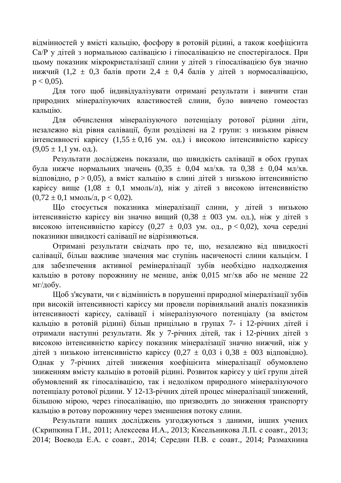відмінностей у вмісті кальцію, фосфору в ротовій рідині, а також коефіцієнта Са/Р у дітей з нормальною салівацією і гіпосалівацією не спостерігалося. При цьому показник мікрокристалізації слини у дітей з гіпосалівацією був значно нижчий (1,2  $\pm$  0,3 балів проти 2,4  $\pm$  0,4 балів у дітей з нормосалівацією,  $p < 0.05$ ).

Для того щоб індивідуалізувати отримані результати і вивчити стан природних мінералізуючих властивостей слини, було вивчено гомеостаз кальцію.

Для обчислення мінералізуючого потенціалу ротової рідини діти, незалежно від рівня салівації, були розділені на 2 групи: з низьким рівнем iнтенсивностi карiєсу (1,55 ± 0,16 ум. од.) i високою iнтенсивністю карiєсу  $(9.05 \pm 1.1 \text{ yM. } 0 \text{A.}).$ 

Результати досліджень показали, що швидкість салівації в обох групах була нижче нормальних значень  $(0.35 \pm 0.04 \text{ mJ/xB})$ . та  $0.38 \pm 0.04 \text{ mJ/xB}$ . відповідно,  $p > 0.05$ ), а вміст кальцію в слині дітей з низькою інтенсивністю карієсу вище (1,08  $\pm$  0,1 ммоль/л), ніж у дітей з високою інтенсивністю  $(0.72 \pm 0.1 \text{ MMOJH/m}, \, p < 0.02)$ .

Шо стосується показника мінералізації слини, у дітей з низькою інтенсивністю карієсу він значно вищий (0,38 ± 003 ум. од.), ніж у дітей з високою інтенсивністю карієсу (0,27  $\pm$  0,03 ум. од.,  $p < 0.02$ ), хоча середні показники швилкості салівації не вілрізняються.

Отримані результати свідчать про те, що, незалежно від швидкості салівації, більш важливе значення має ступінь насиченості слини кальцієм. І для забезпечення активної ремінералізації зубів необхідно надходження кальцію в ротову порожнину не менше, аніж 0,015 мг/хв або не менше 22 мг/добу.

Щоб з'ясувати, чи є відмінність в порушенні природної мінералізації зубів при високій інтенсивності карієсу ми провели порівняльний аналіз показників інтенсивності карієсу, салівації і мінералізуючого потенціалу (за вмістом кальцію в ротовій рідині) більш прицільно в групах 7- і 12-річних дітей і отримали наступні результати. Як у 7-річних дітей, так і 12-річних дітей з високою інтенсивністю карієсу показник мінералізації значно нижчий, ніж у дітей з низькою інтенсивністю карієсу (0,27 ± 0,03 і 0,38 ± 003 відповідно). Однак у 7-річних дітей зниження коефіцієнта мінералізації обумовлено зниженням вмісту кальцію в ротовій рідині. Розвиток карієсу у цієї групи дітей обумовлений як гіпосалівацією, так і недоліком природного мінералізуючого потенціалу ротової рідини. У 12-13-річних дітей процес мінералізації знижений, більшою мірою, через гіпосалівацію, що призводить до зниження транспорту кальцію в ротову порожнину через зменшення потоку слини.

Результати наших досліджень узгоджуються з даними, інших учених  $({\rm CK}\beta)$ ипкина Г.И., 2011; Алексеева И.А., 2013; Кисельникова Л.П. с соавт., 2013; 2014; Воевода Е.А. с соавт., 2014; Середин П.В. с соавт., 2014; Размахнина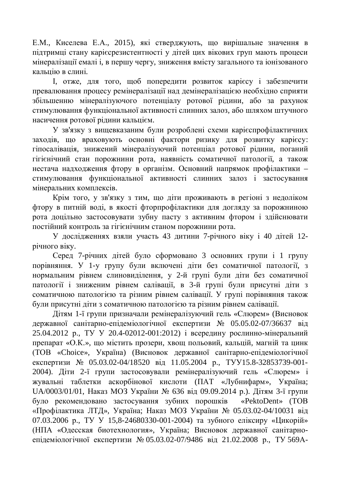Е.М., Киселева Е.А., 2015), які стверджують, що вирішальне значення в підтримці стану карієсрезистентності у дітей цих вікових груп мають процеси мінералізації емалі і, в першу чергу, зниження вмісту загального та іонізованого кальцію в слині.

I, отже, для того, щоб попередити розвиток карієсу і забезпечити превалювання процесу ремінералізації над демінералізацією необхідно сприяти збільшенню мінералізуючого потенціалу ротової рідини, або за рахунок стимулювання функціональної активності слинних залоз, або шляхом штучного насичення ротової рідини кальцієм.

У зв'язку з вищевказаним були розроблені схеми карієспрофілактичних заходів, що враховують основні фактори ризику для розвитку карієсу: гіпосалівація, знижений мінералізуючий потенціал ротової рідини, поганий гігієнічний стан порожнини рота, наявність соматичної патології, а також нестача надходження фтору в організм. Основний напрямок профілактики стимулювання функціональної активності слинних залоз і застосування мінеральних комплексів.

Крім того, у зв'язку з тим, що діти проживають в регіоні з недоліком фтору в питній воді, в якості фторпрофілактики для догляду за порожниною рота доцільно застосовувати зубну пасту з активним фтором і здійснювати постійний контроль за гігієнічним станом порожнини рота.

У лослілженнях взяли участь 43 литини 7-річного віку і 40 літей 12річного віку.

Серед 7-річних дітей було сформовано 3 основних групи і 1 групу порівняння. У 1-у групу були включені діти без соматичної патології, з нормальним рівнем слиновиділення, у 2-й групі були діти без соматичної патології і зниженим рівнем салівації, в 3-й групі були присутні діти з соматичною патологією та різним рівнем салівації. У групі порівняння також були присутні діти з соматичною патологією та різним рівнем салівації.

Дітям 1-ї групи призначали ремінералізуючий гель «Слюрем» (Висновок державної санітарно-епідеміологічної експертизи № 05.05.02-07/36637 від 25.04.2012 p., ТУ У 20.4-02012-001:2012) і всередину рослинно-мінеральний препарат «О.К.», що містить прозери, хвощ польовий, кальцій, магній та цинк (ТОВ «Choice», Україна) (Висновок державної санітарно-епідеміологічної експертизи № 05.03.02-04/18520 від 11.05.2004 р., ТУУ15.8-32853739-001-2004). Діти 2-ї групи застосовували ремінералізуючий гель «Слюрем» і жувальні таблетки аскорбінової кислоти (ПАТ «Лубнифарм», Україна; UA/0003/01/01, Наказ МОЗ України № 636 від 09.09.2014 р.). Дітям 3-ї групи було рекомендовано застосування зубних порошків «PektoDent» (ТОВ «Профілактика ЛТД», Україна; Наказ МОЗ України № 05.03.02-04/10031 від 07.03.2006 р., ТУ У 15,8-24680330-001-2004) та зубного еліксиру «Цикорій» (НПА «Одесская биотехнология», Україна; Висновок державної санітарноепідеміологічної експертизи № 05.03.02-07/9486 від 21.02.2008 р., ТУ 569А-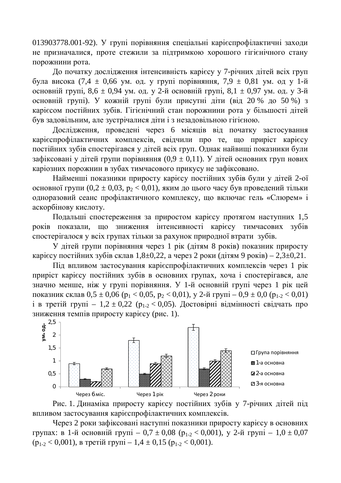013903778.001-92). У групі порівняння спеціальні карієспрофілактичні заходи не призначалися, проте стежили за підтримкою хорошого гігієнічного стану порожнини рота.

До початку дослідження інтенсивність карієсу у 7-річних дітей всіх груп була висока (7,4 ± 0,66 ум. од. у групі порівняння, 7,9 ± 0,81 ум. од у 1-й основній групі,  $8,6 \pm 0.94$  ум. од. у 2-й основній групі,  $8,1 \pm 0.97$  ум. од. у 3-й основній групі). У кожній групі були присутні діти (від 20 % до 50 %) з карієсом постійних зубів. Гігієнічний стан порожнини рота у більшості дітей був задовільним, але зустрічалися діти і з незадовільною гігієною.

Дослідження, проведені через 6 місяців від початку застосування карієспрофілактичних комплексів, свідчили про те, що приріст карієсу постійних зубів спостерігався у дітей всіх груп. Однак найвищі показники були зафіксовані у дітей групи порівняння (0,9 ± 0,11). У дітей основних груп нових каріозних порожнин в зубах тимчасового прикусу не зафіксовано.

Найменші показники приросту карієсу постійних зубів були у дітей 2-ої основної групи (0,2  $\pm$  0,03, p<sub>2</sub> < 0,01), яким до цього часу був проведений тільки одноразовий сеанс профілактичного комплексу, що включає гель «Слюрем» і аскорбінову кислоту.

Подальші спостереження за приростом карієсу протягом наступних 1,5 років показали, що зниження інтенсивності карієсу тимчасових зубів спостерігалося у всіх групах тільки за рахунок природної втрати зубів.

У дітей групи порівняння через 1 рік (дітям 8 років) показник приросту карієсу постійних зубів склав 1,8 $\pm$ 0,22, а через 2 роки (дітям 9 років) – 2,3 $\pm$ 0,21.

Під впливом застосування карієспрофілактичних комплексів через 1 рік приріст карієсу постійних зубів в основних групах, хоча і спостерігався, але значно менше, ніж у групі порівняння. У 1-й основній групі через 1 рік цей показник склав  $0.5 \pm 0.06$  ( $p_1 < 0.05$ ,  $p_2 < 0.01$ ), у 2-й груп $i - 0.9 \pm 0.0$  ( $p_{1-2} < 0.01$ )  $\bar{i}$  в третій групі – 1,2  $\pm$  0,22 ( $p_{1-2}$  < 0,05). Достовірні відмінності свідчать про зниження темпів приросту карієсу (рис. 1).



Рис. 1. Динаміка приросту карієсу постійних зубів у 7-річних дітей під впливом застосування карієспрофілактичних комплексів.

Через 2 роки зафіксовані наступні показники приросту карієсу в основних групах: в 1-й основній групі – 0,7 ± 0,08 (р<sub>1-2</sub> < 0,001), у 2-й групі – 1,0 ± 0,07  $(p_{1-2} < 0.001)$ , в третій групі – 1,4 ± 0,15  $(p_{1-2} < 0.001)$ .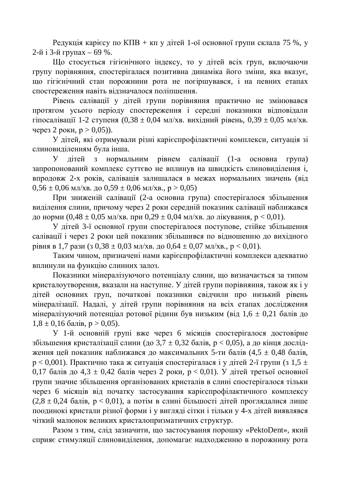Редукція карієсу по КПВ + кп у дітей 1-ої основної групи склала 75 %, у 2-й і 3-й групах – 69 %.

Що стосується гігієнічного індексу, то у дітей всіх груп, включаючи групу порівняння, спостерігалася позитивна динаміка його зміни, яка вказує, що гігієнічний стан порожнини рота не погіршувався, і на певних етапах спостереження навіть відзначалося поліпшення.

Рівень салівації у дітей групи порівняння практично не змінювався протягом усього періоду спостереження і середні показники відповідали гіпосалівації 1-2 ступеня  $(0,38 \pm 0,04 \text{ MI/XB})$ . вихідний рівень,  $0,39 \pm 0,05 \text{ MI/XB}$ . через 2 роки,  $p > 0.05$ )).

У дітей, які отримували різні карієспрофілактичні комплекси, ситуація зі слиновиділенням була інша.

У дітей з нормальним рівнем салівації (1-а основна група) запропонований комплекс суттєво не вплинув на швидкість слиновиділення і, впродовж 2-х років, салівація залишалася в межах нормальних значень (від  $0.56 \pm 0.06$  MJ/XB.  $\mu$ o  $0.59 \pm 0.06$  MJ/XB.,  $p > 0.05$ )

При зниженій салівації (2-а основна група) спостерігалося збільшення виділення слини, причому через 2 роки середній показник салівації наближався до норми  $(0.48 \pm 0.05 \text{ MI/XB}$ . при  $0.29 \pm 0.04 \text{ MI/XB}$ . до лікування,  $p < 0.01$ ).

У дітей 3-ї основної групи спостерігалося поступове, стійке збільшення салівації і через 2 роки цей показник збільшився по вілношенню до вихілного рівня в 1,7 рази (з 0,38  $\pm$  0,03 мл/хв. до 0,64  $\pm$  0,07 мл/хв., р < 0,01).

Таким чином, призначені нами карієспрофілактичні комплекси адекватно вплинули на функцію слинних залоз.

Показники мінералізуючого потенціалу слини, що визначається за типом кристалоутворення, вказали на наступне. У дітей групи порівняння, також як і у дітей основних груп, початкові показники свідчили про низький рівень мінералізації. Надалі, у дітей групи порівняння на всіх етапах дослідження мінералізуючий потенціал ротової рідини був низьким (від 1,6 ± 0,21 балів до  $1,8 \pm 0,16$  балів,  $p > 0,05$ ).

У 1-й основній групі вже через 6 місяців спостерігалося достовірне збільшення кристалізації слини (до 3,7  $\pm$  0,32 балів, р < 0,05), а до кінця дослідження цей показник наближався до максимальних 5-ти балів (4,5  $\pm$  0,48 балів,  $p < 0.001$ ). Практично така ж ситуація спостерігалася і у дітей 2-ї групи (з 1,5 ± 0,17 балів до 4,3  $\pm$  0,42 балів через 2 роки, р < 0,01). У дітей третьої основної групи значне збільшення організованих кристалів в слині спостерігалося тільки через 6 місяців від початку застосування карієспрофілактичного комплексу  $(2,8 \pm 0.24$  балів,  $p < 0.01$ ), а потім в слині більшості дітей проглядалися лише поодинокі кристали різної форми і у вигляді сітки і тільки у 4-х дітей виявлявся чіткий малюнок великих кристалопризматичних структур.

Разом з тим, слід зазначити, що застосування порошку «PektoDent», який сприяє стимуляції слиновиділення, допомагає надходженню в порожнину рота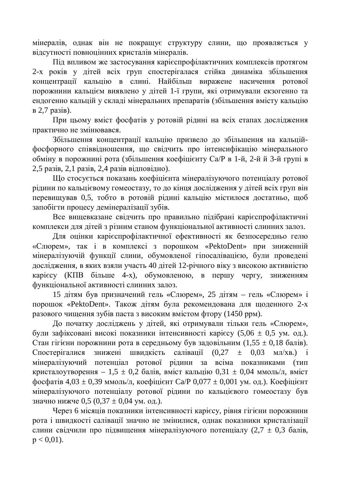мінералів, однак він не покращує структуру слини, що проявляється у відсутності повноцінних кристалів мінералів.

Під впливом же застосування карієспрофілактичних комплексів протягом 2-х років у дітей всіх груп спостерігалася стійка динаміка збільшення концентрації кальцію в слині. Найбільш виражене насичення ротової порожнини кальцієм виявлено у дітей 1-ї групи, які отримували екзогенно та ендогенно кальцій у складі мінеральних препаратів (збільшення вмісту кальцію  $B$  2,7 pasis).

При цьому вміст фосфатів у ротовій рідині на всіх етапах дослідження практично не змінювався.

Збільшення концентрації кальцію призвело до збільшення на кальційфосфорного співвідношення, що свідчить про інтенсифікацію мінерального обміну в порожнині рота (збільшення коефіцієнту Са/Р в 1-й, 2-й й 3-й групі в  $2,5$  pasis,  $2,1$  pasis,  $2,4$  pasis відповідно).

Що стосується показань коефіцієнта мінералізуючого потенціалу ротової рідини по кальцієвому гомеостазу, то до кінця дослідження у дітей всіх груп він перевишував 0,5, тобто в ротовій рілині кальцію містилося лостатньо, щоб запобігти процесу демінералізації зубів.

Все вищевказане свідчить про правильно підібрані карієспрофілактичні комплекси для дітей з різним станом функціональної активності слинних залоз.

Для оцінки карієспрофілактичної ефективності як безпосередньо гелю «Слюрем», так і в комплексі з порошком «PektoDent» при зниженній мінералізуючій функції слини, обумовленої гіпосалівацією, були проведені дослідження, в яких взяли участь 40 дітей 12-річного віку з високою активністю карієсу (КПВ більше 4-х), обумовленою, в першу чергу, зниженням функціональної активності слинних залоз.

15 дітям був призначений гель «Слюрем», 25 дітям – гель «Слюрем» і порошок «PektoDent». Також дітям була рекомендована для щоденного 2-х разового чищення зубів паста з високим вмістом фтору (1450 ррм).

До початку досліджень у дітей, які отримували тільки гель «Слюрем», були зафіксовані високі показники інтенсивності карієсу (5,06 ± 0,5 ум. од.). Стан гігієни порожнини рота в середньому був задовільним (1,55  $\pm$  0,18 балів). Спостерігалися знижені швидкість салівації  $(0,27 \pm 0,03 \text{ MHz/KB.})$  і мінералізуючий потенціал ротової рідини за всіма показниками (тип кристалоутворення – 1,5  $\pm$  0,2 балів, вміст кальцію 0,31  $\pm$  0,04 ммоль/л, вміст  $\phi$ осфатів 4,03 ± 0,39 ммоль/л, коефіцієнт Са/Р 0,077 ± 0,001 ум. од.). Коефіцієнт мінералізуючого потенціалу ротової рідини по кальцієвого гомеостазу був значно нижче 0,5 (0,37  $\pm$  0,04 ум. од.).

Через 6 місяців показники інтенсивності карієсу, рівня гігієни порожнини рота і швидкості салівації значно не змінилися, однак показники кристалізації слини свідчили про підвищення мінералізуючого потенціалу (2,7  $\pm$  0,3 балів,  $p < 0.01$ ).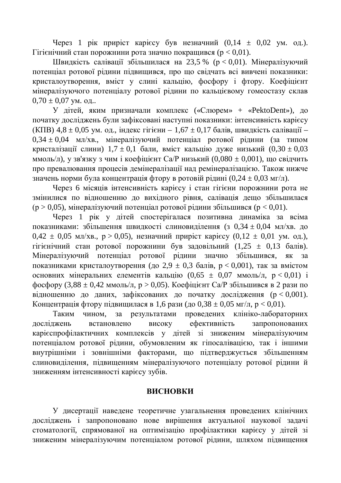Через 1 рік приріст карієсу був незначний  $(0.14 \pm 0.02 \text{ yM. oJ.})$ .  $Ti$ тієнічний стан порожнини рота значно покращився ( $p < 0.01$ ).

Швидкість салівації збільшилася на 23,5 % (р < 0,01). Мінералізуючий потенціал ротової рідини підвищився, про що свідчать всі вивчені показники: кристалоутворення, вміст у слині кальцію, фосфору і фтору. Коефіцієнт мінералізуючого потенціалу ротової рідини по кальцієвому гомеостазу склав  $0,70 \pm 0,07$  ym.  $0,01$ ..

У дітей, яким призначали комплекс («Слюрем» + «PektoDent»), до початку досліджень були зафіксовані наступні показники: інтенсивність карієсу (КПВ) 4,8  $\pm$  0,05 ум. од., індекс гігієни – 1,67  $\pm$  0,17 балів, швидкість салівації –  $0.34 \pm 0.04$  мл/хв., мінералізуючий потенціал ротової рідини (за типом кристалізації слини)  $1.7 \pm 0.1$  бали, вміст кальцію дуже низький  $(0.30 \pm 0.03$ ммоль/л), у зв'язку з чим і коефіцієнт Са/Р низький (0,080 ± 0,001), що свідчить про превалювання процесів демінералізації над ремінералізацією. Також нижче значень норми була концентрація фтору в ротовій рідині (0,24 ± 0,03 мг/л).

Через 6 місяців інтенсивність карієсу і стан гігієни порожнини рота не змінилися по вілношенню до вихілного рівня, салівація дешо збільшилася  $(p > 0.05)$ , мінералізуючий потенціал ротової рідини збільшився ( $p < 0.01$ ).

Через 1 рік у дітей спостерігалася позитивна динаміка за всіма показниками: збільшення швидкості слиновиділення (з 0,34 ± 0,04 мл/хв. до  $0.42 \pm 0.05$  MJ/xB.,  $p > 0.05$ ), незначний приріст карієсу  $(0.12 \pm 0.01$  ум. од.), гігієнічний стан ротової порожнини був задовільний  $(1,25 \pm 0,13 \text{ óanis}).$ Мінералізуючий потенціал ротової рідини значно збільшився, як за показниками кристалоутворення (до 2,9  $\pm$  0,3 балів, р < 0,001), так за вмістом основних мінеральних елементів кальцію (0,65  $\pm$  0,07 ммоль/л,  $p < 0.01$ ) і фосфору (3,88 ± 0,42 ммоль/л, р > 0,05). Коефіцієнт Са/Р збільшився в 2 рази по відношенню до даних, зафіксованих до початку дослідження  $(p < 0.001)$ . Концентрація фтору підвищилася в 1,6 рази (до 0,38  $\pm$  0,05 мг/л, р < 0,01).

Таким чином, за результатами проведених клініко-лабораторних досліджень встановлено високу ефективність запропонованих карієспрофілактичних комплексів у дітей зі зниженим мінералізуючим потенціалом ротової рідини, обумовленим як гіпосалівацією, так і іншими внутрішніми і зовнішніми факторами, що підтверджується збільшенням слиновиділення, підвищенням мінералізуючого потенціалу ротової рідини й зниженням інтенсивності карієсу зубів.

### **ВИСНОВКИ**

У дисертації наведене теоретичне узагальнення проведених клінічних досліджень і запропоновано нове вирішення актуальної наукової задачі стоматології, спрямованої на оптимізацію профілактики карієсу у дітей зі зниженим мінералізуючим потенціалом ротової рідини, шляхом підвищення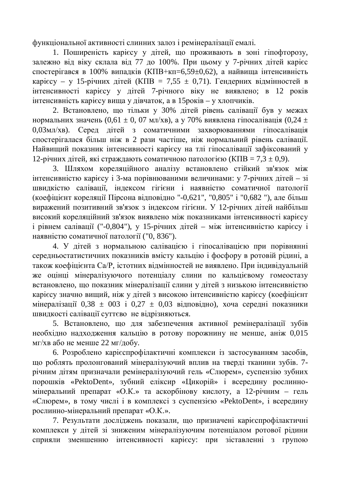функціональної активності слинних залоз і ремінералізації емалі.

1. Поширеність карієсу у дітей, що проживають в зоні гіпофторозу, залежно від віку склала від 77 до 100%. При цьому у 7-річних дітей карієс спостерігався в 100% випадків (КПВ+кп=6,59±0,62), а найвища інтенсивність карієсу – у 15-річних дітей (КПВ = 7,55  $\pm$  0,71). Гендерних відмінностей в iнтенсивностi карiєсу у дiтей 7-рiчного вiку не виявлено; в 12 рокiв  $i$ нтенсивність карієсу вища у дівчаток, а в 15 років – у хлопчиків.

2. Встановлено, що тільки у 30% дітей рівень салівації був у межах нормальних значень (0,61  $\pm$  0, 07 мл/хв), а у 70% виявлена гіпосалівація (0,24  $\pm$ 0,03мл/хв). Серед дітей з соматичними захворюваннями гіпосалівація спостерігалася більш ніж в 2 рази частіше, ніж нормальний рівень салівації. Найвищий показник інтенсивності карієсу на тлі гіпосалівації зафіксований у 12-річних дітей, які страждають соматичною патологією (КПВ = 7,3  $\pm$  0,9).

3. Шляхом кореляційного аналізу встановлено стійкий зв'язок між інтенсивністю карієсу і 3-ма порівнюваними величинами: у 7-річних дітей – зі швидкістю салівації, індексом гігієни і наявністю соматичної патології (коефіцієнт кореляції Пірсона відповідно "-0,621", "0,805" і "0,682 "), але більш виражений позитивний зв'язок з індексом гігієни. У 12-річних дітей найбільш високий кореляційний зв'язок виявлено між показниками інтенсивності карієсу  $\overline{a}$  рівнем салівації ("-0,804"), у 15-річних дітей – між інтенсивністю карієсу і наявністю соматичної патології ("0, 836").

4. У дітей з нормальною салівацією і гіпосалівацією при порівнянні середньостатистичних показників вмісту кальцію і фосфору в ротовій рідині, а також коефіцієнта Са/Р, істотних відмінностей не виявлено. При індивідуальній же оцінці мінералізуючого потенціалу слини по кальцієвому гомеостазу встановлено, що показник мінералізації слини у дітей з низькою інтенсивністю карієсу значно вищий, ніж у дітей з високою інтенсивністю карієсу (коефіцієнт мінералізації  $0.38 \pm 0.03$  і  $0.27 \pm 0.03$  відповідно), хоча середні показники швидкості салівації суттєво не відрізняються.

5. Встановлено, що для забезпечення активної ремінералізації зубів необхідно надходження кальцію в ротову порожнину не менше, аніж 0,015  $MT/XB$  або не менше 22 мг/добу.

6. Розроблено карієспрофілактичні комплекси із застосуванням засобів, що роблять пролонгований мінералізуючий вплив на тверді тканини зубів. 7річним дітям призначали ремінералізуючий гель «Слюрем», суспензію зубних порошків «PektoDent», зубний еліксир «Цикорій» і всередину рослинномінеральний препарат «О.К.» та аскорбінову кислоту, а 12-річним – гель «Слюрем», в тому числі і в комплексі з суспензією «PektoDent», і всередину рослинно-мінеральний препарат «О.К.».

7. Результати досліджень показали, що призначені карієспрофілактичні комплекси у дітей зі зниженим мінералізуючим потенціалом ротової рідини сприяли зменшенню інтенсивності карієсу: при зіставленні з групою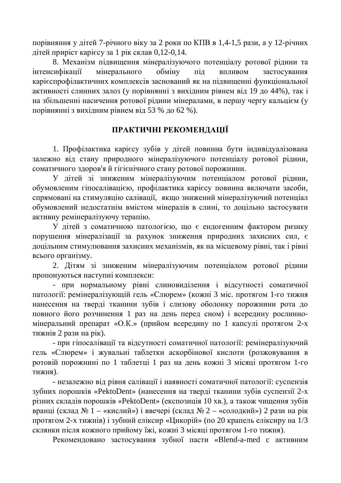порівняння у дітей 7-річного віку за 2 роки по КПВ в 1,4-1,5 рази, а у 12-річних дітей приріст карієсу за 1 рік склав  $0,12-0,14$ .

8. Механізм підвищення мінералізуючого потенціалу ротової рідини та інтенсифікації мінерального обміну під впливом застосування карієспрофілактичних комплексів заснований як на підвищенні функціональної активності слинних залоз (у порівнянні з вихідним рівнем від 19 до 44%), так і на збільшенні насичення ротової рідини мінералами, в першу чергу кальцієм (у порівнянні з вихідним рівнем від 53 % до 62 %).

## ПРАКТИЧНІ РЕКОМЕНДАЦІЇ

1. Профілактика карієсу зубів у дітей повинна бути індивідуалізована залежно від стану природного мінералізуючого потенціалу ротової рідини, соматичного здоров'я й гігієнічного стану ротової порожнини.

У дітей зі зниженим мінералізуючим потенціалом ротової рідини, обумовленим гіпосалівацією, профілактика карієсу повинна включати засоби, спрямовані на стимуляцію салівації, якщо знижений мінералізуючий потенціал обумовлений недостатнім вмістом мінералів в слині, то доцільно застосувати активну ремінералізуючу терапію.

У дітей з соматичною патологією, що є ендогенним фактором ризику порушення мінералізації за рахунок зниження природних захисних сил. є доцільним стимулювання захисних механізмів, як на місцевому рівні, так і рівні всього організму.

2. Дітям зі зниженим мінералізуючим потенціалом ротової рідини пропонуються наступні комплекси:

- при нормальному рівні слиновиділення і відсутності соматичної патології: ремінералізующій гель «Слюрем» (кожні 3 міс. протягом 1-го тижня нанесення на тверді тканини зубів і слизову оболонку порожнини рота до повного його розчинення 1 раз на день перед сном) і всередину рослинномінеральний препарат «О.К.» (прийом всередину по 1 капсулі протягом 2-х тижнів 2 рази на рік).

- при гіпосалівації та відсутності соматичної патології: ремінералізуючий гель «Слюрем» і жувальні таблетки аскорбінової кислоти (розжовування в ротовій порожнині по 1 таблетці 1 раз на день кожні 3 місяці протягом 1-го тижня).

- незалежно від рівня салівації і наявності соматичної патології: суспензія зубних порошків «PektoDent» (нанесення на тверді тканини зубів суспензії 2-х різних складів порошків «PektoDent» (експозиція 10 хв.), а також чищення зубів вранці (склад № 1 – «кислий») і ввечері (склад № 2 – «солодкий») 2 рази на рік протягом 2-х тижнів) і зубний еліксир «Цикорій» (по 20 крапель еліксиру на 1/3 склянки після кожного прийому їжі, кожні 3 місяці протягом 1-го тижня).

Рекомендовано застосування зубної пасти «Blend-a-med с активним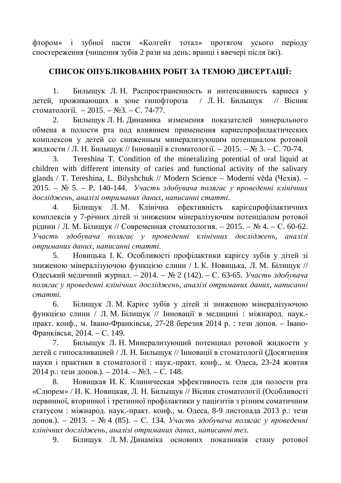фтором» і зубної пасти «Колгейт тотал» протягом усього періоду спостереження (чищення зубів 2 рази на день: вранці і ввечері після їжі).

# СПИСОК ОПУБЛІКОВАНИХ РОБІТ ЗА ТЕМОЮ ДИСЕРТАЦІЇ:

1. Бильщук Л. Н. Распространенность и интенсивность кариеса у детей, проживающих в зоне гипофтороза / Л.Н. Билыщук // Вісник стоматології.  $-2015. - N_23. - C. 74-77.$ 

2. Билыщук Л. Н. Динамика изменения показателей минерального обмена в полости рта под влиянием применения кариеспрофилактических комплексов у детей со сниженным минерализующим потенциалом ротовой жидкости / Л. Н. Бильщук // Інновації в стоматології. – 2015. – № 3. – С. 70-74.

3. Tereshina T. Condition of the mineralizing potential of oral liquid at children with different intensity of caries and functional activity of the salivary glands / T. Tereshina, L. Bilyshchuk // Modern Science – Moderní věda (Чехія). – 2015. – № 5. – Р. 140-144. *Участь здобувача полягає у проведенні клінічних*  $\partial$ осліджень, аналізі отриманих даних, написанні статті,

4. Білищук Л. М. Клінічна ефективність карієспрофілактичних комплексів у 7-річних дітей зі зниженим мінералізуючим потенціалом ротової рідини / Л. М. Білищук // Современная стоматология. – 2015. – № 4. – С. 60-62. **Участь** здобувача полягає у проведенні клінічних досліджень, аналізі  $\omega$ *ютриманих даних, написанні статті.* 

5. Новицька І. К. Особливості профілактики карієсу зубів у дітей зі зниженою мінералізуючою функцією слини / І. К. Новицька, Л. М. Білищук // Одеський медичний журнал. – 2014. – № 2 (142). – С. 63-65. Участь здобувача полягає у проведенні клінічних досліджень, аналізі отриманих даних, написанні  $c$ *mammi.* 

6. Білищук Л. М. Карієс зубів у дітей зі зниженою мінералізуючою функцією слини / Л.М. Білищук // Інновації в медицині : міжнарод. наук.практ. конф., м. Івано-Франківськ, 27-28 березня 2014 р. : тези допов. - Івано-Франківськ, 2014. – С. 149.

7. Бильщук Л. Н. Минерализующий потенциал ротовой жидкости у детей с гипосаливацией / Л. Н. Билыщук // Інновації в стоматології (Досягнення науки і практики в стоматології: наук.-практ. конф., м. Одеса, 23-24 жовтня  $2014$  р.: тези допов.). –  $2014.$  –  $N_23.$  – С. 148.

8. Новицкая И. К. Клиническая эффективность геля для полости рта «Слюрем» / И. К. Новицкая, Л. Н. Билыщук // Вісник стоматології (Особливості первинної, вторинної і третинної профілактики у пацієнтів з різним соматичним статусом: міжнарод. наук.-практ. конф., м. Одеса, 8-9 листопада 2013 р.: тези допов.). – 2013. – № 4 (85). – С. 134. Участь здобувача полягає у проведенні *ɤɥɿɧɿɱɧɢɯɞɨɫɥɿɞɠɟɧɶ, ɚɧɚɥɿɡɿɨɬɪɢɦɚɧɢɯɞɚɧɢɯ, ɧɚɩɢɫɚɧɧɿɬɟɡ.*

9. Білищук Л. М. Динаміка основних показників стану ротової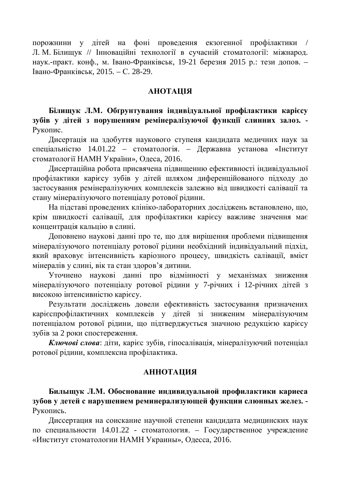порожнини у дітей на фоні проведення екзогенної профілактики / Л. М. Білищук // Інноваційні технології в сучасній стоматології: міжнарод. наук.-практ. конф., м. Івано-Франківськ, 19-21 березня 2015 р.: тези допов. – Івано-Франківськ, 2015. – С. 28-29.

#### **AHOTALIJA**

Білищук Л.М. Обґрунтування індивідуальної профілактики карієсу зубів у дітей з порушенням ремінералізуючої функції слинних залоз. -Рукопис.

Дисертація на здобуття наукового ступеня кандидата медичних наук за спеціальністю 14.01.22 – стоматологія. – Державна установа «Інститут стоматології НАМН України», Одеса, 2016.

Дисертаційна робота присвячена підвищенню ефективності індивідуальної профілактики карієсу зубів у дітей шляхом диференційованого підходу до застосування ремінералізуючих комплексів залежно від швидкості салівації та стану мінералізуючого потенціалу ротової рілини.

На підставі проведених клініко-лабораторних досліджень встановлено, що, крім швидкості салівації, для профілактики карієсу важливе значення має концентрація кальцію в слині.

Доповнено наукові данні про те, що для вирішення проблеми підвишення мінералізуючого потенціалу ротової рідини необхідний індивідуальний підхід, який враховує інтенсивність каріозного процесу, швидкість салівації, вміст мінералів у слині, вік та стан здоров'я дитини.

Уточнено наукові данні про відмінності у механізмах зниження мінералізуючого потенціалу ротової рідини у 7-річних і 12-річних дітей з високою інтенсивністю карієсу.

Результати досліджень довели ефективність застосування призначених карієспрофілактичних комплексів у дітей зі зниженим мінералізуючим потенціалом ротової рідини, що підтверджується значною редукцією карієсу зубів за 2 роки спостереження.

Ключові слова: діти, карієс зубів, гіпосалівація, мінералізуючий потенціал ротової рідини, комплексна профілактика.

#### **АННОТАЦИЯ**

Билыщук Л.М. Обоснование индивидуальной профилактики кариеса зубов у детей с нарушением реминерализующей функции слюнных желез. -Рукопись.

Диссертация на соискание научной степени кандидата медицинских наук по специальности 14.01.22 - стоматология. – Государственное учреждение «Институт стоматологии НАМН Украины», Одесса, 2016.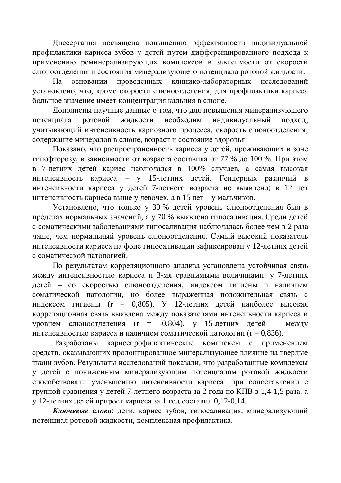Диссертация посвящена повышению эффективности индивидуальной профилактики кариеса зубов у детей путем дифференцированного подхода к применению реминерализирующих комплексов в зависимости от скорости слюноотделения и состояния минерализующего потенциала ротовой жидкости.

На основании проведенных клинико-лабораторных исследований установлено, что, кроме скорости слюноотделения, для профилактики кариеса большое значение имеет концентрация кальция в слюне.

Дополнены научные данные о том, что для повышения минерализующего потенциала ротовой жидкости необходим индивидуальный подход, учитывающий интенсивность кариозного процесса, скорость слюноотделения, содержание минералов в слюне, возраст и состояние здоровья

Показано, что распространенность кариеса у детей, проживающих в зоне гипофторозу, в зависимости от возраста составила от 77 % до 100 %. При этом в 7-летних детей кариес наблюдался в 100% случаев, а самая высокая интенсивность кариеса – у 15-летних детей. Гендерных различий в интенсивности кариеса у детей 7-летнего возраста не выявлено; в 12 лет интенсивность кариеса выше у девочек, а в 15 лет – у мальчиков.

Установлено, что только у 30 % детей уровень слюноотделения был в пределах нормальных значений, а у 70 % выявлена гипосаливация. Среди детей с соматическими заболеваниями гипосаливация наблюдалась более чем в 2 раза чаще, чем нормальный уровень слюноотделения. Самый высокий показатель интенсивности кариеса на фоне гипосаливации зафиксирован у 12-летних детей с соматической патологией.

По результатам корреляционного анализа установлена устойчивая связь между интенсивностью кариеса и 3-мя сравнимыми величинами: у 7-летних детей – со скоростью слюноотделения, индексом гигиены и наличием соматической патологии, но более выраженная положительная связь с индексом гигиены (r = 0,805). У 12-летних детей наиболее высокая корреляционная связь выявлена между показателями интенсивности кариеса и уровнем слюноотделения (r = -0,804), у 15-летних детей – между интенсивностью кариеса и наличием соматической патологии ( $r = 0.836$ ).

Разработаны кариеспрофилактические комплексы с применением средств, оказывающих пролонгированное минерализующее влияние на твердые ткани зубов. Результаты исследований показали, что разработанные комплексы у детей с пониженным минерализующим потенциалом ротовой жидкости способствовали уменьшению интенсивности кариеса: при сопоставлении с группой сравнения у детей 7-летнего возраста за 2 года по КПВ в 1,4-1,5 раза, а у 12-летних детей прирост кариеса за 1 год составил 0,12-0,14.

Ключевые слова: дети, кариес зубов, гипосаливация, минерализующий потенциал ротовой жидкости, комплексная профилактика.